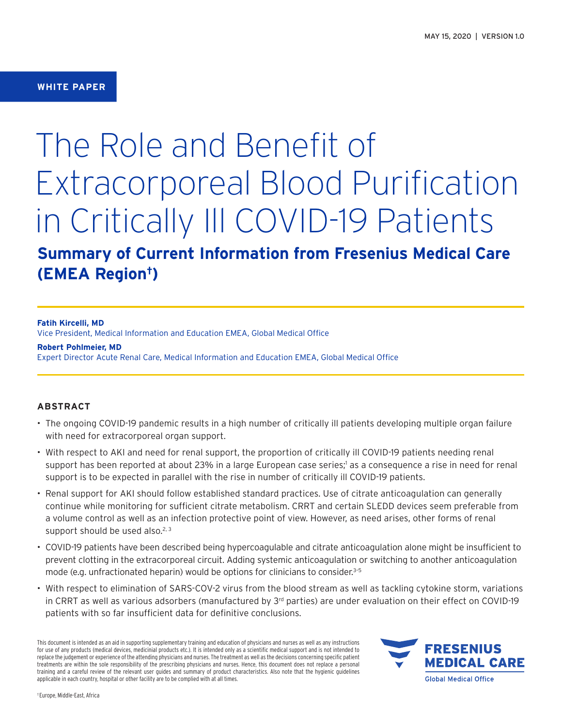## **WHITE PAPER**

# The Role and Benefit of Extracorporeal Blood Purification in Critically Ill COVID-19 Patients

# **Summary of Current Information from Fresenius Medical Care (EMEA Region†)**

**Fatih Kircelli, MD**

Vice President, Medical Information and Education EMEA, Global Medical Office

**Robert Pohlmeier, MD** Expert Director Acute Renal Care, Medical Information and Education EMEA, Global Medical Office

## **ABSTRACT**

- The ongoing COVID-19 pandemic results in a high number of critically ill patients developing multiple organ failure with need for extracorporeal organ support.
- With respect to AKI and need for renal support, the proportion of critically ill COVID-19 patients needing renal support has been reported at about 23% in a large European case series;<sup>1</sup> as a consequence a rise in need for renal support is to be expected in parallel with the rise in number of critically ill COVID-19 patients.
- Renal support for AKI should follow established standard practices. Use of citrate anticoagulation can generally continue while monitoring for sufficient citrate metabolism. CRRT and certain SLEDD devices seem preferable from a volume control as well as an infection protective point of view. However, as need arises, other forms of renal support should be used also. $2,3$
- COVID-19 patients have been described being hypercoagulable and citrate anticoagulation alone might be insufficient to prevent clotting in the extracorporeal circuit. Adding systemic anticoagulation or switching to another anticoagulation mode (e.g. unfractionated heparin) would be options for clinicians to consider.<sup>3-5</sup>
- With respect to elimination of SARS-COV-2 virus from the blood stream as well as tackling cytokine storm, variations in CRRT as well as various adsorbers (manufactured by  $3<sup>rd</sup>$  parties) are under evaluation on their effect on COVID-19 patients with so far insufficient data for definitive conclusions.

This document is intended as an aid in supporting supplementary training and education of physicians and nurses as well as any instructions for use of any products (medical devices, medicinial products etc.). It is intended only as a scientific medical support and is not intended to replace the judgement or experience of the attending physicians and nurses. The treatment as well as the decisions concerning specific patient treatments are within the sole responsibility of the prescribing physicians and nurses. Hence, this document does not replace a personal training and a careful review of the relevant user guides and summary of product characteristics. Also note that the hygienic guidelines applicable in each country, hospital or other facility are to be complied with at all times.

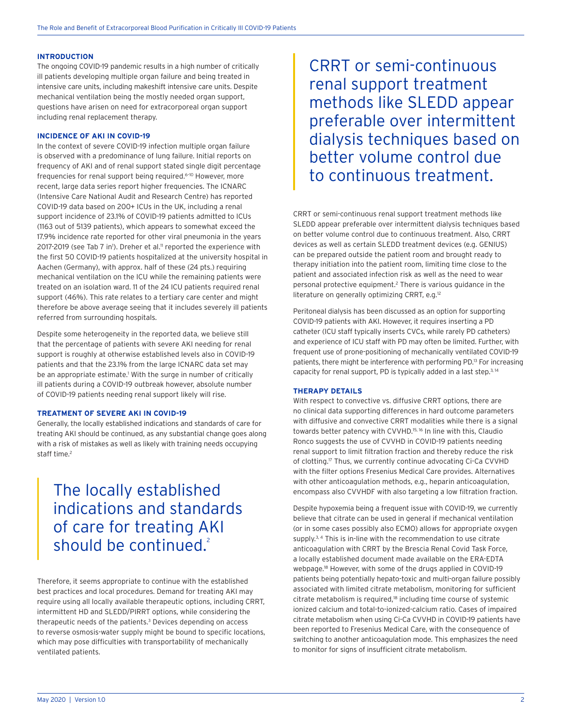#### **INTRODUCTION**

The ongoing COVID-19 pandemic results in a high number of critically ill patients developing multiple organ failure and being treated in intensive care units, including makeshift intensive care units. Despite mechanical ventilation being the mostly needed organ support, questions have arisen on need for extracorporeal organ support including renal replacement therapy.

#### **INCIDENCE OF AKI IN COVID-19**

In the context of severe COVID-19 infection multiple organ failure is observed with a predominance of lung failure. Initial reports on frequency of AKI and of renal support stated single digit percentage frequencies for renal support being required.<sup>6-10</sup> However, more recent, large data series report higher frequencies. The ICNARC (Intensive Care National Audit and Research Centre) has reported COVID-19 data based on 200+ ICUs in the UK, including a renal support incidence of 23.1% of COVID-19 patients admitted to ICUs (1163 out of 5139 patients), which appears to somewhat exceed the 17.9% incidence rate reported for other viral pneumonia in the years 2017-2019 (see Tab 7 in<sup>1</sup>). Dreher et al.<sup>11</sup> reported the experience with the first 50 COVID-19 patients hospitalized at the university hospital in Aachen (Germany), with approx. half of these (24 pts.) requiring mechanical ventilation on the ICU while the remaining patients were treated on an isolation ward. 11 of the 24 ICU patients required renal support (46%). This rate relates to a tertiary care center and might therefore be above average seeing that it includes severely ill patients referred from surrounding hospitals.

Despite some heterogeneity in the reported data, we believe still that the percentage of patients with severe AKI needing for renal support is roughly at otherwise established levels also in COVID-19 patients and that the 23.1% from the large ICNARC data set may be an appropriate estimate.<sup>1</sup> With the surge in number of critically ill patients during a COVID-19 outbreak however, absolute number of COVID-19 patients needing renal support likely will rise.

#### **TREATMENT OF SEVERE AKI IN COVID-19**

Generally, the locally established indications and standards of care for treating AKI should be continued, as any substantial change goes along with a risk of mistakes as well as likely with training needs occupying staff time.<sup>2</sup>

## The locally established indications and standards of care for treating AKI should be continued.<sup>2</sup>

Therefore, it seems appropriate to continue with the established best practices and local procedures. Demand for treating AKI may require using all locally available therapeutic options, including CRRT, intermittent HD and SLEDD/PIRRT options, while considering the therapeutic needs of the patients.<sup>3</sup> Devices depending on access to reverse osmosis-water supply might be bound to specific locations, which may pose difficulties with transportability of mechanically ventilated patients.

CRRT or semi-continuous renal support treatment methods like SLEDD appear preferable over intermittent dialysis techniques based on better volume control due to continuous treatment.

CRRT or semi-continuous renal support treatment methods like SLEDD appear preferable over intermittent dialysis techniques based on better volume control due to continuous treatment. Also, CRRT devices as well as certain SLEDD treatment devices (e.g. GENIUS) can be prepared outside the patient room and brought ready to therapy initiation into the patient room, limiting time close to the patient and associated infection risk as well as the need to wear personal protective equipment.2 There is various guidance in the literature on generally optimizing CRRT, e.g.<sup>12</sup>

Peritoneal dialysis has been discussed as an option for supporting COVID-19 patients with AKI. However, it requires inserting a PD catheter (ICU staff typically inserts CVCs, while rarely PD catheters) and experience of ICU staff with PD may often be limited. Further, with frequent use of prone-positioning of mechanically ventilated COVID-19 patients, there might be interference with performing PD.13 For increasing capacity for renal support, PD is typically added in a last step.3, 14

#### **THERAPY DETAILS**

With respect to convective vs. diffusive CRRT options, there are no clinical data supporting differences in hard outcome parameters with diffusive and convective CRRT modalities while there is a signal towards better patency with CVVHD.15, 16 In line with this, Claudio Ronco suggests the use of CVVHD in COVID-19 patients needing renal support to limit filtration fraction and thereby reduce the risk of clotting.17 Thus, we currently continue advocating Ci-Ca CVVHD with the filter options Fresenius Medical Care provides. Alternatives with other anticoagulation methods, e.g., heparin anticoagulation, encompass also CVVHDF with also targeting a low filtration fraction.

Despite hypoxemia being a frequent issue with COVID-19, we currently believe that citrate can be used in general if mechanical ventilation (or in some cases possibly also ECMO) allows for appropriate oxygen supply.<sup>3, 4</sup> This is in-line with the recommendation to use citrate anticoagulation with CRRT by the Brescia Renal Covid Task Force, a locally established document made available on the ERA-EDTA webpage.18 However, with some of the drugs applied in COVID-19 patients being potentially hepato-toxic and multi-organ failure possibly associated with limited citrate metabolism, monitoring for sufficient citrate metabolism is required,<sup>18</sup> including time course of systemic ionized calcium and total-to-ionized-calcium ratio. Cases of impaired citrate metabolism when using Ci-Ca CVVHD in COVID-19 patients have been reported to Fresenius Medical Care, with the consequence of switching to another anticoagulation mode. This emphasizes the need to monitor for signs of insufficient citrate metabolism.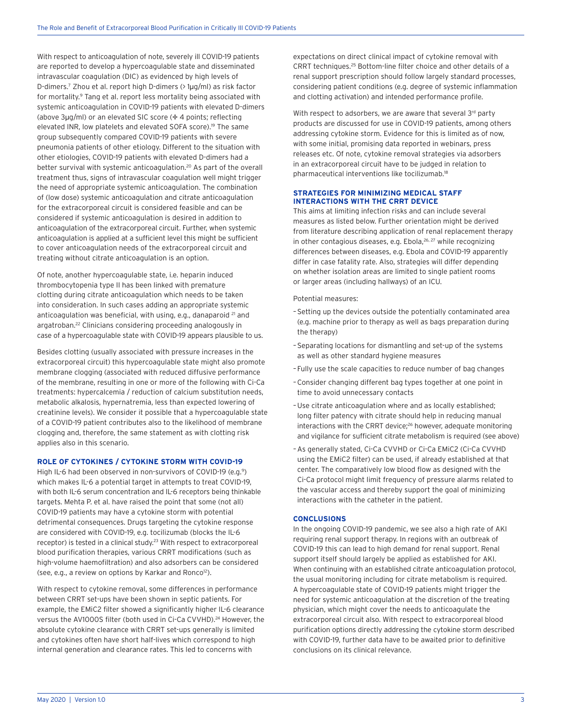With respect to anticoagulation of note, severely ill COVID-19 patients are reported to develop a hypercoagulable state and disseminated intravascular coagulation (DIC) as evidenced by high levels of D-dimers.7 Zhou et al. report high D-dimers (> 1µg/ml) as risk factor for mortality.<sup>9</sup> Tang et al. report less mortality being associated with systemic anticoagulation in COVID-19 patients with elevated D-dimers (above  $3\mu q/ml$ ) or an elevated SIC score ( $4$  4 points; reflecting elevated INR, low platelets and elevated SOFA score).<sup>19</sup> The same group subsequently compared COVID-19 patients with severe pneumonia patients of other etiology. Different to the situation with other etiologies, COVID-19 patients with elevated D-dimers had a better survival with systemic anticoagulation.<sup>20</sup> As part of the overall treatment thus, signs of intravascular coagulation well might trigger the need of appropriate systemic anticoagulation. The combination of (low dose) systemic anticoagulation and citrate anticoagulation for the extracorporeal circuit is considered feasible and can be considered if systemic anticoagulation is desired in addition to anticoagulation of the extracorporeal circuit. Further, when systemic anticoagulation is applied at a sufficient level this might be sufficient to cover anticoagulation needs of the extracorporeal circuit and treating without citrate anticoagulation is an option.

Of note, another hypercoagulable state, i.e. heparin induced thrombocytopenia type II has been linked with premature clotting during citrate anticoagulation which needs to be taken into consideration. In such cases adding an appropriate systemic anticoagulation was beneficial, with using, e.g., danaparoid<sup>21</sup> and argatroban.22 Clinicians considering proceeding analogously in case of a hypercoagulable state with COVID-19 appears plausible to us.

Besides clotting (usually associated with pressure increases in the extracorporeal circuit) this hypercoagulable state might also promote membrane clogging (associated with reduced diffusive performance of the membrane, resulting in one or more of the following with Ci-Ca treatments: hypercalcemia / reduction of calcium substitution needs, metabolic alkalosis, hypernatremia, less than expected lowering of creatinine levels). We consider it possible that a hypercoagulable state of a COVID-19 patient contributes also to the likelihood of membrane clogging and, therefore, the same statement as with clotting risk applies also in this scenario.

#### **ROLE OF CYTOKINES / CYTOKINE STORM WITH COVID-19**

High IL-6 had been observed in non-survivors of COVID-19 (e.g.<sup>9</sup>) which makes IL-6 a potential target in attempts to treat COVID-19, with both IL-6 serum concentration and IL-6 receptors being thinkable targets. Mehta P. et al. have raised the point that some (not all) COVID-19 patients may have a cytokine storm with potential detrimental consequences. Drugs targeting the cytokine response are considered with COVID-19, e.g. tocilizumab (blocks the IL-6 receptor) is tested in a clinical study.<sup>23</sup> With respect to extracorporeal blood purification therapies, various CRRT modifications (such as high-volume haemofiltration) and also adsorbers can be considered (see, e.g., a review on options by Karkar and Ronco<sup>12</sup>).

With respect to cytokine removal, some differences in performance between CRRT set-ups have been shown in septic patients. For example, the EMiC2 filter showed a significantly higher IL-6 clearance versus the AV1000S filter (both used in Ci-Ca CVVHD).<sup>24</sup> However, the absolute cytokine clearance with CRRT set-ups generally is limited and cytokines often have short half-lives which correspond to high internal generation and clearance rates. This led to concerns with

expectations on direct clinical impact of cytokine removal with CRRT techniques.25 Bottom-line filter choice and other details of a renal support prescription should follow largely standard processes, considering patient conditions (e.g. degree of systemic inflammation and clotting activation) and intended performance profile.

With respect to adsorbers, we are aware that several 3rd party products are discussed for use in COVID-19 patients, among others addressing cytokine storm. Evidence for this is limited as of now, with some initial, promising data reported in webinars, press releases etc. Of note, cytokine removal strategies via adsorbers in an extracorporeal circuit have to be judged in relation to pharmaceutical interventions like tocilizumab.18

### **STRATEGIES FOR MINIMIZING MEDICAL STAFF INTERACTIONS WITH THE CRRT DEVICE**

This aims at limiting infection risks and can include several measures as listed below. Further orientation might be derived from literature describing application of renal replacement therapy in other contagious diseases, e.g. Ebola,<sup>26, 27</sup> while recognizing differences between diseases, e.g. Ebola and COVID-19 apparently differ in case fatality rate. Also, strategies will differ depending on whether isolation areas are limited to single patient rooms or larger areas (including hallways) of an ICU.

#### Potential measures:

- –Setting up the devices outside the potentially contaminated area (e.g. machine prior to therapy as well as bags preparation during the therapy)
- –Separating locations for dismantling and set-up of the systems as well as other standard hygiene measures
- Fully use the scale capacities to reduce number of bag changes
- –Consider changing different bag types together at one point in time to avoid unnecessary contacts
- –Use citrate anticoagulation where and as locally established; long filter patency with citrate should help in reducing manual interactions with the CRRT device;<sup>26</sup> however, adequate monitoring and vigilance for sufficient citrate metabolism is required (see above)
- –As generally stated, Ci-Ca CVVHD or Ci-Ca EMiC2 (Ci-Ca CVVHD using the EMiC2 filter) can be used, if already established at that center. The comparatively low blood flow as designed with the Ci-Ca protocol might limit frequency of pressure alarms related to the vascular access and thereby support the goal of minimizing interactions with the catheter in the patient.

#### **CONCLUSIONS**

In the ongoing COVID-19 pandemic, we see also a high rate of AKI requiring renal support therapy. In regions with an outbreak of COVID-19 this can lead to high demand for renal support. Renal support itself should largely be applied as established for AKI. When continuing with an established citrate anticoagulation protocol, the usual monitoring including for citrate metabolism is required. A hypercoagulable state of COVID-19 patients might trigger the need for systemic anticoagulation at the discretion of the treating physician, which might cover the needs to anticoagulate the extracorporeal circuit also. With respect to extracorporeal blood purification options directly addressing the cytokine storm described with COVID-19, further data have to be awaited prior to definitive conclusions on its clinical relevance.